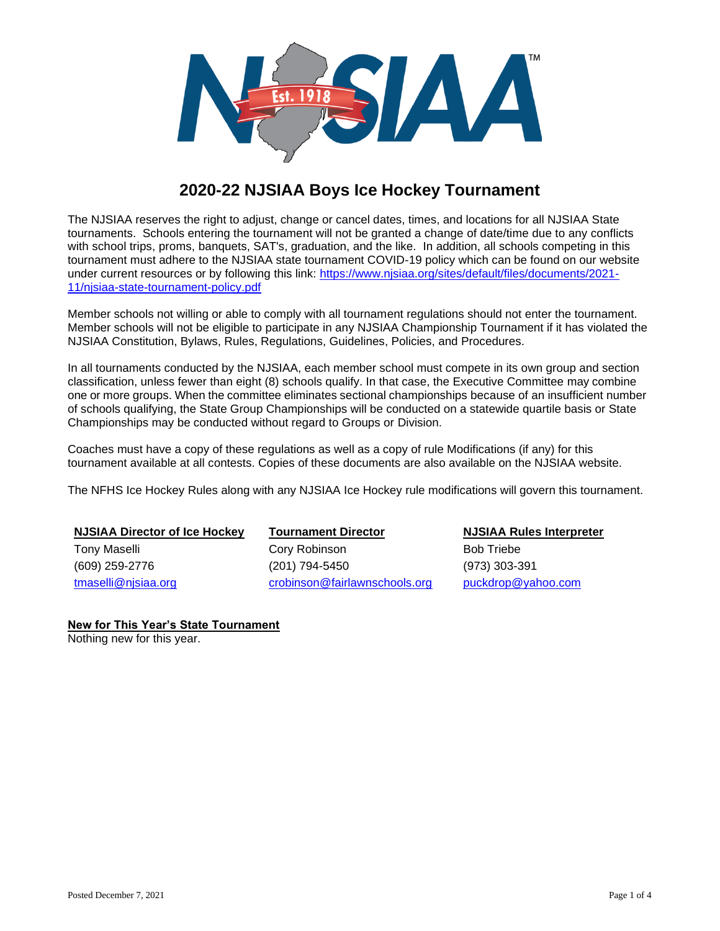

# **2020-22 NJSIAA Boys Ice Hockey Tournament**

The NJSIAA reserves the right to adjust, change or cancel dates, times, and locations for all NJSIAA State tournaments. Schools entering the tournament will not be granted a change of date/time due to any conflicts with school trips, proms, banquets, SAT's, graduation, and the like. In addition, all schools competing in this tournament must adhere to the NJSIAA state tournament COVID-19 policy which can be found on our website under current resources or by following this link: [https://www.njsiaa.org/sites/default/files/documents/2021-](https://www.njsiaa.org/sites/default/files/documents/2021-11/njsiaa-state-tournament-policy.pdf) [11/njsiaa-state-tournament-policy.pdf](https://www.njsiaa.org/sites/default/files/documents/2021-11/njsiaa-state-tournament-policy.pdf)

Member schools not willing or able to comply with all tournament regulations should not enter the tournament. Member schools will not be eligible to participate in any NJSIAA Championship Tournament if it has violated the NJSIAA Constitution, Bylaws, Rules, Regulations, Guidelines, Policies, and Procedures.

In all tournaments conducted by the NJSIAA, each member school must compete in its own group and section classification, unless fewer than eight (8) schools qualify. In that case, the Executive Committee may combine one or more groups. When the committee eliminates sectional championships because of an insufficient number of schools qualifying, the State Group Championships will be conducted on a statewide quartile basis or State Championships may be conducted without regard to Groups or Division.

Coaches must have a copy of these regulations as well as a copy of rule Modifications (if any) for this tournament available at all contests. Copies of these documents are also available on the NJSIAA website.

The NFHS Ice Hockey Rules along with any NJSIAA Ice Hockey rule modifications will govern this tournament.

**NJSIAA Director of Ice Hockey Tournament Director NJSIAA Rules Interpreter** Tony Maselli **Cory Robinson** Cory Robinson **Bob Triebe** (609) 259-2776 (201) 794-5450 (973) 303-391

[tmaselli@njsiaa.org](mailto:tmaselli@njsiaa.org) [crobinson@fairlawnschools.org](mailto:crobinson@fairlawnschools.org) [puckdrop@yahoo.com](mailto:puckdrop@yahoo.com)

**New for This Year's State Tournament**

Nothing new for this year.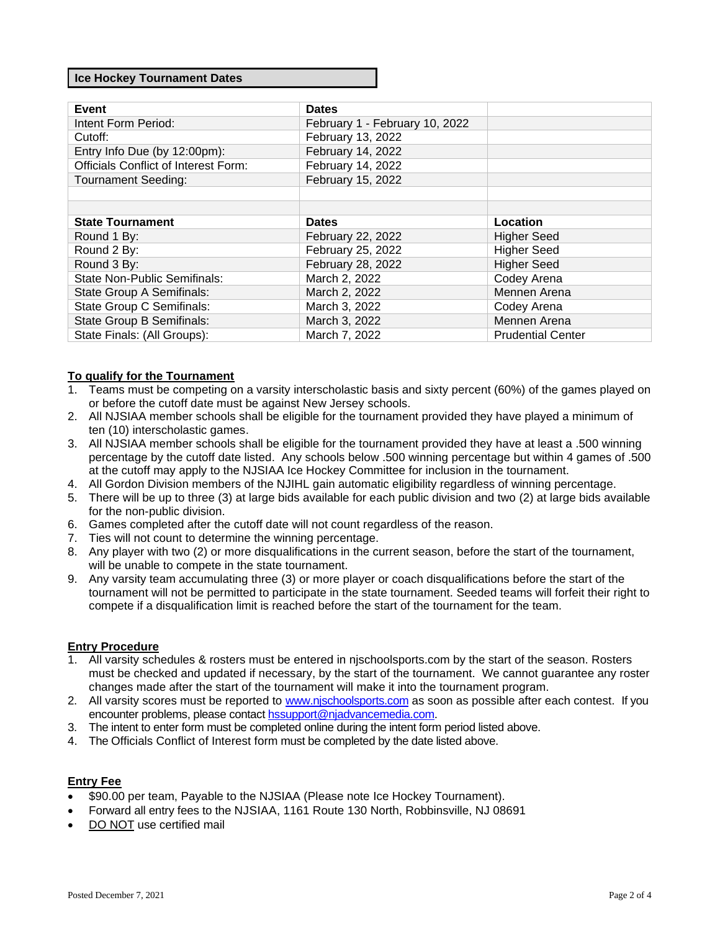#### **Ice Hockey Tournament Dates**

| Event                                       | <b>Dates</b>                   |                          |
|---------------------------------------------|--------------------------------|--------------------------|
| Intent Form Period:                         | February 1 - February 10, 2022 |                          |
| Cutoff:                                     | February 13, 2022              |                          |
| Entry Info Due (by 12:00pm):                | February 14, 2022              |                          |
| <b>Officials Conflict of Interest Form:</b> | February 14, 2022              |                          |
| <b>Tournament Seeding:</b>                  | February 15, 2022              |                          |
|                                             |                                |                          |
|                                             |                                |                          |
| <b>State Tournament</b>                     | <b>Dates</b>                   | Location                 |
| Round 1 By:                                 | February 22, 2022              | <b>Higher Seed</b>       |
| Round 2 By:                                 | February 25, 2022              | <b>Higher Seed</b>       |
| Round 3 By:                                 | February 28, 2022              | <b>Higher Seed</b>       |
| State Non-Public Semifinals:                | March 2, 2022                  | Codey Arena              |
| State Group A Semifinals:                   | March 2, 2022                  | Mennen Arena             |
| State Group C Semifinals:                   | March 3, 2022                  | Codey Arena              |
| State Group B Semifinals:                   | March 3, 2022                  | Mennen Arena             |
| State Finals: (All Groups):                 | March 7, 2022                  | <b>Prudential Center</b> |

#### **To qualify for the Tournament**

- 1. Teams must be competing on a varsity interscholastic basis and sixty percent (60%) of the games played on or before the cutoff date must be against New Jersey schools.
- 2. All NJSIAA member schools shall be eligible for the tournament provided they have played a minimum of ten (10) interscholastic games.
- 3. All NJSIAA member schools shall be eligible for the tournament provided they have at least a .500 winning percentage by the cutoff date listed. Any schools below .500 winning percentage but within 4 games of .500 at the cutoff may apply to the NJSIAA Ice Hockey Committee for inclusion in the tournament.
- 4. All Gordon Division members of the NJIHL gain automatic eligibility regardless of winning percentage.
- 5. There will be up to three (3) at large bids available for each public division and two (2) at large bids available for the non-public division.
- 6. Games completed after the cutoff date will not count regardless of the reason.
- 7. Ties will not count to determine the winning percentage.
- 8. Any player with two (2) or more disqualifications in the current season, before the start of the tournament, will be unable to compete in the state tournament.
- 9. Any varsity team accumulating three (3) or more player or coach disqualifications before the start of the tournament will not be permitted to participate in the state tournament. Seeded teams will forfeit their right to compete if a disqualification limit is reached before the start of the tournament for the team.

# **Entry Procedure**

- 1. All varsity schedules & rosters must be entered in njschoolsports.com by the start of the season. Rosters must be checked and updated if necessary, by the start of the tournament. We cannot guarantee any roster changes made after the start of the tournament will make it into the tournament program.
- 2. All varsity scores must be reported to [www.njschoolsports.com](http://www.njschoolsports.com/) as soon as possible after each contest. If you encounter problems, please contact [hssupport@njadvancemedia.com.](mailto:hssupport@njadvancemedia.com)
- 3. The intent to enter form must be completed online during the intent form period listed above.
- 4. The Officials Conflict of Interest form must be completed by the date listed above.

#### **Entry Fee**

- \$90.00 per team, Payable to the NJSIAA (Please note Ice Hockey Tournament).
- Forward all entry fees to the NJSIAA, 1161 Route 130 North, Robbinsville, NJ 08691
- DO NOT use certified mail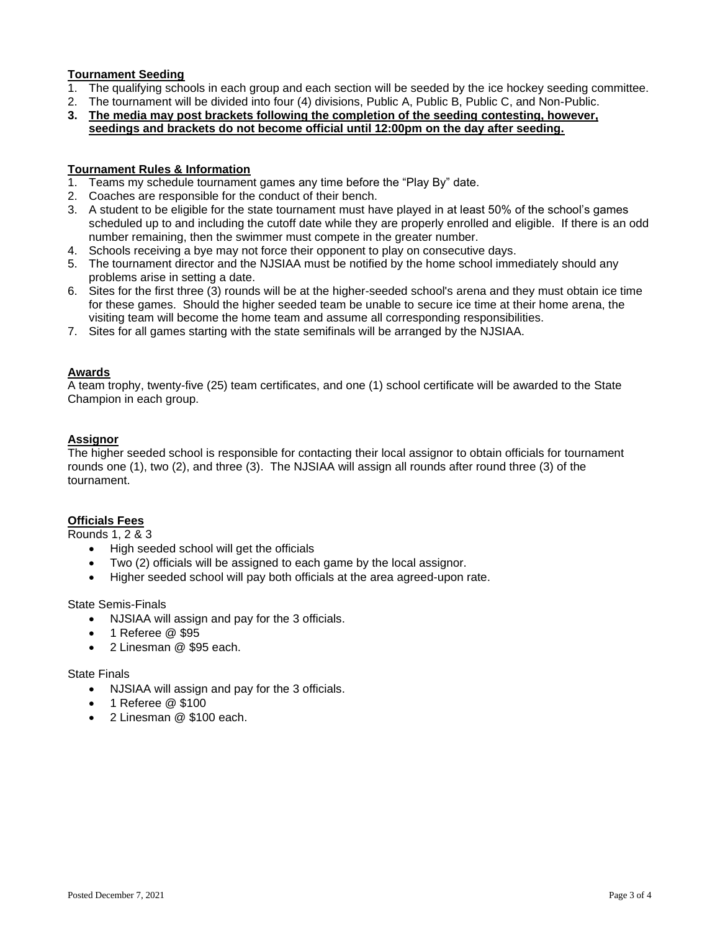# **Tournament Seeding**

- 1. The qualifying schools in each group and each section will be seeded by the ice hockey seeding committee.
- 2. The tournament will be divided into four (4) divisions, Public A, Public B, Public C, and Non-Public.
- **3. The media may post brackets following the completion of the seeding contesting, however, seedings and brackets do not become official until 12:00pm on the day after seeding.**

#### **Tournament Rules & Information**

- 1. Teams my schedule tournament games any time before the "Play By" date.
- 2. Coaches are responsible for the conduct of their bench.
- 3. A student to be eligible for the state tournament must have played in at least 50% of the school's games scheduled up to and including the cutoff date while they are properly enrolled and eligible. If there is an odd number remaining, then the swimmer must compete in the greater number.
- 4. Schools receiving a bye may not force their opponent to play on consecutive days.
- 5. The tournament director and the NJSIAA must be notified by the home school immediately should any problems arise in setting a date.
- 6. Sites for the first three (3) rounds will be at the higher-seeded school's arena and they must obtain ice time for these games. Should the higher seeded team be unable to secure ice time at their home arena, the visiting team will become the home team and assume all corresponding responsibilities.
- 7. Sites for all games starting with the state semifinals will be arranged by the NJSIAA.

## **Awards**

A team trophy, twenty-five (25) team certificates, and one (1) school certificate will be awarded to the State Champion in each group.

## **Assignor**

The higher seeded school is responsible for contacting their local assignor to obtain officials for tournament rounds one (1), two (2), and three (3). The NJSIAA will assign all rounds after round three (3) of the tournament.

## **Officials Fees**

Rounds 1, 2 & 3

- High seeded school will get the officials
- Two (2) officials will be assigned to each game by the local assignor.
- Higher seeded school will pay both officials at the area agreed-upon rate.

State Semis-Finals

- NJSIAA will assign and pay for the 3 officials.
- 1 Referee @ \$95
- 2 Linesman @ \$95 each.

State Finals

- NJSIAA will assign and pay for the 3 officials.
- 1 Referee @ \$100
- 2 Linesman @ \$100 each.